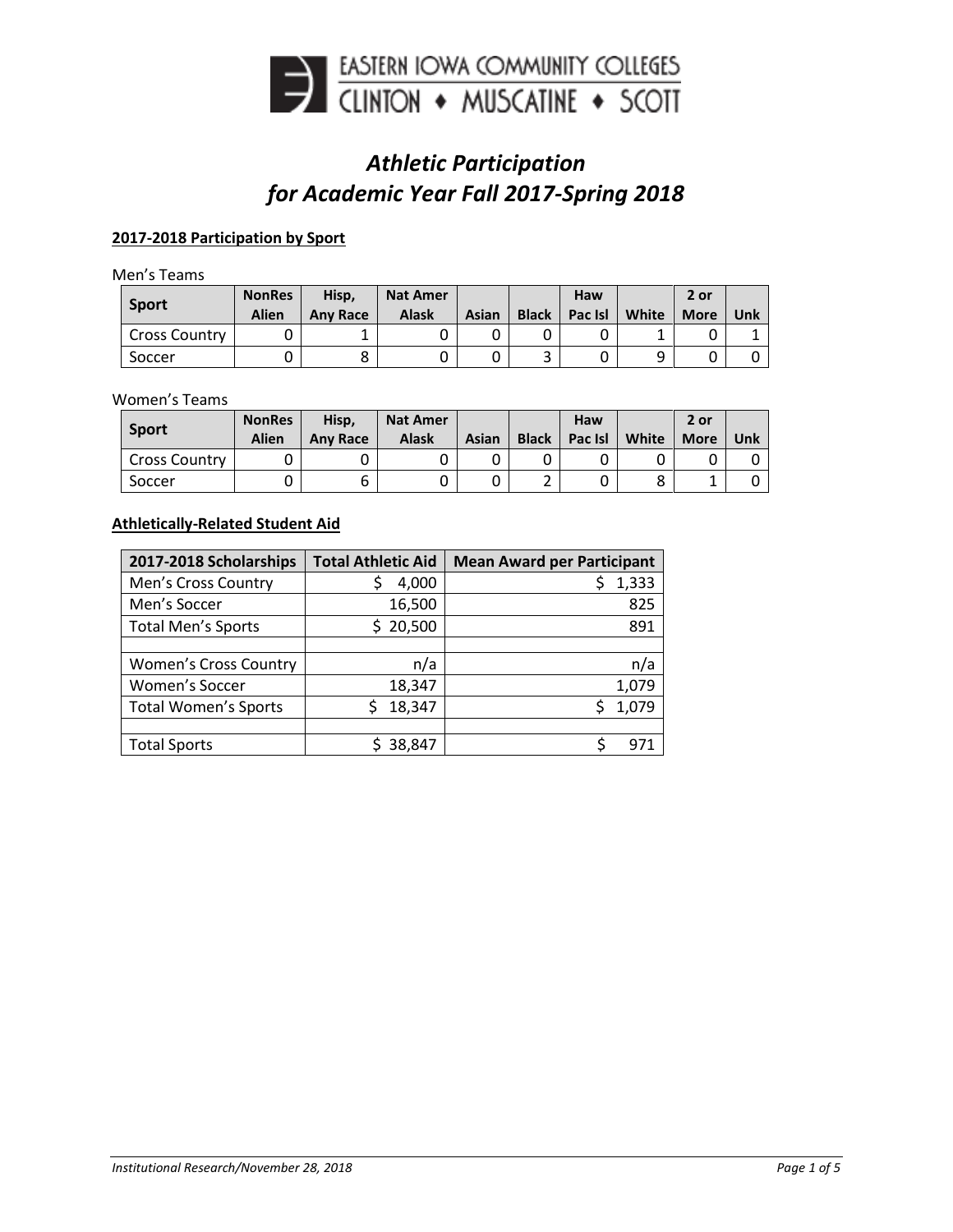

# *Athletic Participation for Academic Year Fall 2017-Spring 2018*

## **2017-2018 Participation by Sport**

Men's Teams

| <b>Sport</b>  | <b>NonRes</b><br><b>Alien</b> | Hisp,<br><b>Any Race</b> | <b>Nat Amer</b><br>Alask | Asian | <b>Black</b> | Haw<br>Pac Isl | White | 2 or<br><b>More</b> | Unk |
|---------------|-------------------------------|--------------------------|--------------------------|-------|--------------|----------------|-------|---------------------|-----|
| Cross Country |                               |                          |                          |       |              |                |       |                     |     |
| Soccer        |                               |                          |                          |       |              |                | a     |                     |     |

#### Women's Teams

| <b>Sport</b>         | <b>NonRes</b><br><b>Alien</b> | Hisp,<br><b>Any Race</b> | <b>Nat Amer</b><br>Alask | Asian | <b>Black</b> | Haw<br>Pac Isl | White  | 2 or<br><b>More</b> | Unk |
|----------------------|-------------------------------|--------------------------|--------------------------|-------|--------------|----------------|--------|---------------------|-----|
| <b>Cross Country</b> |                               |                          |                          |       |              |                |        |                     |     |
| Soccer               |                               | ∽<br>ь                   |                          |       | <u>.</u>     |                | Ω<br>٥ |                     |     |

## **Athletically-Related Student Aid**

| 2017-2018 Scholarships       | <b>Total Athletic Aid</b> | <b>Mean Award per Participant</b> |
|------------------------------|---------------------------|-----------------------------------|
| Men's Cross Country          | 4,000                     | 1,333                             |
| Men's Soccer                 | 16,500                    | 825                               |
| <b>Total Men's Sports</b>    | 20,500<br>S.              | 891                               |
|                              |                           |                                   |
| <b>Women's Cross Country</b> | n/a                       | n/a                               |
| Women's Soccer               | 18,347                    | 1,079                             |
| <b>Total Women's Sports</b>  | 18,347                    | 1,079                             |
|                              |                           |                                   |
| <b>Total Sports</b>          | 38,847                    | d.                                |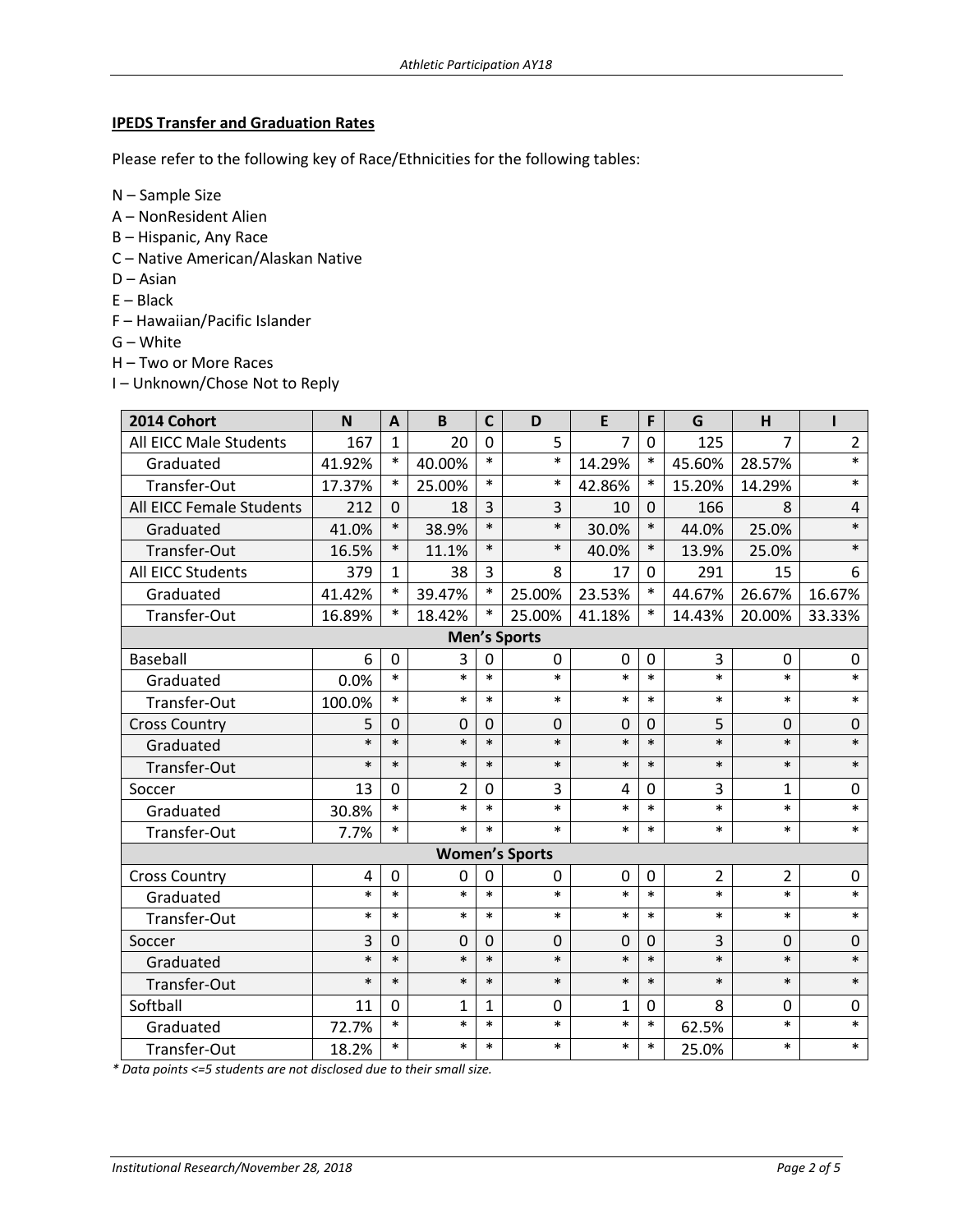## **IPEDS Transfer and Graduation Rates**

Please refer to the following key of Race/Ethnicities for the following tables:

N – Sample Size

- A NonResident Alien
- B Hispanic, Any Race
- C Native American/Alaskan Native
- D Asian
- E Black
- F Hawaiian/Pacific Islander
- G White
- H Two or More Races
- I Unknown/Chose Not to Reply

| 2014 Cohort              | $\mathbf N$ | $\mathbf{A}$ | B              | $\mathsf{C}$   | D                     | E           | F           | G              | H              | Ī              |  |  |
|--------------------------|-------------|--------------|----------------|----------------|-----------------------|-------------|-------------|----------------|----------------|----------------|--|--|
| All EICC Male Students   | 167         | $\mathbf{1}$ | 20             | $\Omega$       | 5                     | 7           | 0           | 125            | $\overline{7}$ | $\overline{2}$ |  |  |
| Graduated                | 41.92%      | $\ast$       | 40.00%         | $\ast$         | $\ast$                | 14.29%      | $\ast$      | 45.60%         | 28.57%         | $\ast$         |  |  |
| Transfer-Out             | 17.37%      | $\ast$       | 25.00%         | $\ast$         | $\ast$                | 42.86%      | $\ast$      | 15.20%         | 14.29%         | $\ast$         |  |  |
| All EICC Female Students | 212         | $\Omega$     | 18             | 3              | 3                     | 10          | $\Omega$    | 166            | 8              | 4              |  |  |
| Graduated                | 41.0%       | $\ast$       | 38.9%          | $\ast$         | $\ast$                | 30.0%       | $\ast$      | 44.0%          | 25.0%          | $\ast$         |  |  |
| Transfer-Out             | 16.5%       | $\ast$       | 11.1%          | $\ast$         | $\ast$                | 40.0%       | $\ast$      | 13.9%          | 25.0%          | $\ast$         |  |  |
| All EICC Students        | 379         | $\mathbf{1}$ | 38             | 3              | 8                     | 17          | $\Omega$    | 291            | 15             | 6              |  |  |
| Graduated                | 41.42%      | $\ast$       | 39.47%         | $\ast$         | 25.00%                | 23.53%      | $\ast$      | 44.67%         | 26.67%         | 16.67%         |  |  |
| Transfer-Out             | 16.89%      | $\ast$       | 18.42%         | $\ast$         | 25.00%                | 41.18%      | $\ast$      | 14.43%         | 20.00%         | 33.33%         |  |  |
| <b>Men's Sports</b>      |             |              |                |                |                       |             |             |                |                |                |  |  |
| <b>Baseball</b>          | 6           | $\mathbf 0$  | 3              | 0              | $\mathbf 0$           | $\mathbf 0$ | 0           | 3              | $\mathbf 0$    | $\mathbf 0$    |  |  |
| Graduated                | 0.0%        | $\ast$       | $\ast$         | $\ast$         | $\ast$                | $\ast$      | $\ast$      | $\ast$         | $\ast$         | $\ast$         |  |  |
| Transfer-Out             | 100.0%      | $\ast$       | $\ast$         | $\ast$         | $\ast$                | $\ast$      | $\ast$      | $\ast$         | $\ast$         | $\ast$         |  |  |
| <b>Cross Country</b>     | 5           | $\Omega$     | $\mathbf 0$    | 0              | $\mathbf 0$           | 0           | $\mathbf 0$ | 5              | $\Omega$       | $\mathbf 0$    |  |  |
| Graduated                | $\ast$      | $\ast$       | $\ast$         | $\ast$         | $\ast$                | $\ast$      | $\ast$      | $\ast$         | $\ast$         | $\ast$         |  |  |
| Transfer-Out             | $\ast$      | $\ast$       | $\ast$         | $\ast$         | $\ast$                | $\ast$      | $\ast$      | $\ast$         | $\ast$         | $\ast$         |  |  |
| Soccer                   | 13          | $\mathbf 0$  | $\overline{2}$ | $\mathbf 0$    | 3                     | 4           | 0           | 3              | $\mathbf{1}$   | 0              |  |  |
| Graduated                | 30.8%       | $\ast$       | $\ast$         | $\ast$         | $\ast$                | $\ast$      | $\ast$      | $\ast$         | $\ast$         | $\ast$         |  |  |
| Transfer-Out             | 7.7%        | $\ast$       | $\ast$         | $\ast$         | $\ast$                | $\ast$      | $\ast$      | $\ast$         | $\ast$         | $\ast$         |  |  |
|                          |             |              |                |                | <b>Women's Sports</b> |             |             |                |                |                |  |  |
| <b>Cross Country</b>     | 4           | $\mathbf 0$  | 0              | $\overline{0}$ | 0                     | 0           | 0           | $\overline{2}$ | $\overline{2}$ | $\mathbf 0$    |  |  |
| Graduated                | $\ast$      | $\ast$       | $\ast$         | $\ast$         | $\ast$                | $\ast$      | $\ast$      | $\ast$         | $\ast$         | $\ast$         |  |  |
| Transfer-Out             | $\ast$      | $\ast$       | $\ast$         | $\ast$         | $\ast$                | $\ast$      | $\ast$      | $\ast$         | $\ast$         | $\ast$         |  |  |
| Soccer                   | 3           | 0            | 0              | 0              | 0                     | 0           | $\Omega$    | 3              | $\Omega$       | 0              |  |  |
| Graduated                | $\ast$      | $\ast$       | $\ast$         | $\ast$         | $\ast$                | $\ast$      | $\ast$      | $\ast$         | $\ast$         | $\ast$         |  |  |
| Transfer-Out             | $\ast$      | $\ast$       | $\ast$         | $\ast$         | $\ast$                | $\ast$      | $\ast$      | $\ast$         | $\ast$         | $\ast$         |  |  |
| Softball                 | 11          | 0            | $\mathbf{1}$   | 1              | 0                     | 1           | $\Omega$    | 8              | 0              | 0              |  |  |
| Graduated                | 72.7%       | $\ast$       | $\ast$         | $\ast$         | $\ast$                | $\ast$      | $\ast$      | 62.5%          | $\ast$         | $\ast$         |  |  |
| Transfer-Out             | 18.2%       | $\ast$       | $\ast$         | $\ast$         | $\ast$                | $\ast$      | $\ast$      | 25.0%          | $\ast$         | $\ast$         |  |  |

*\* Data points <=5 students are not disclosed due to their small size.*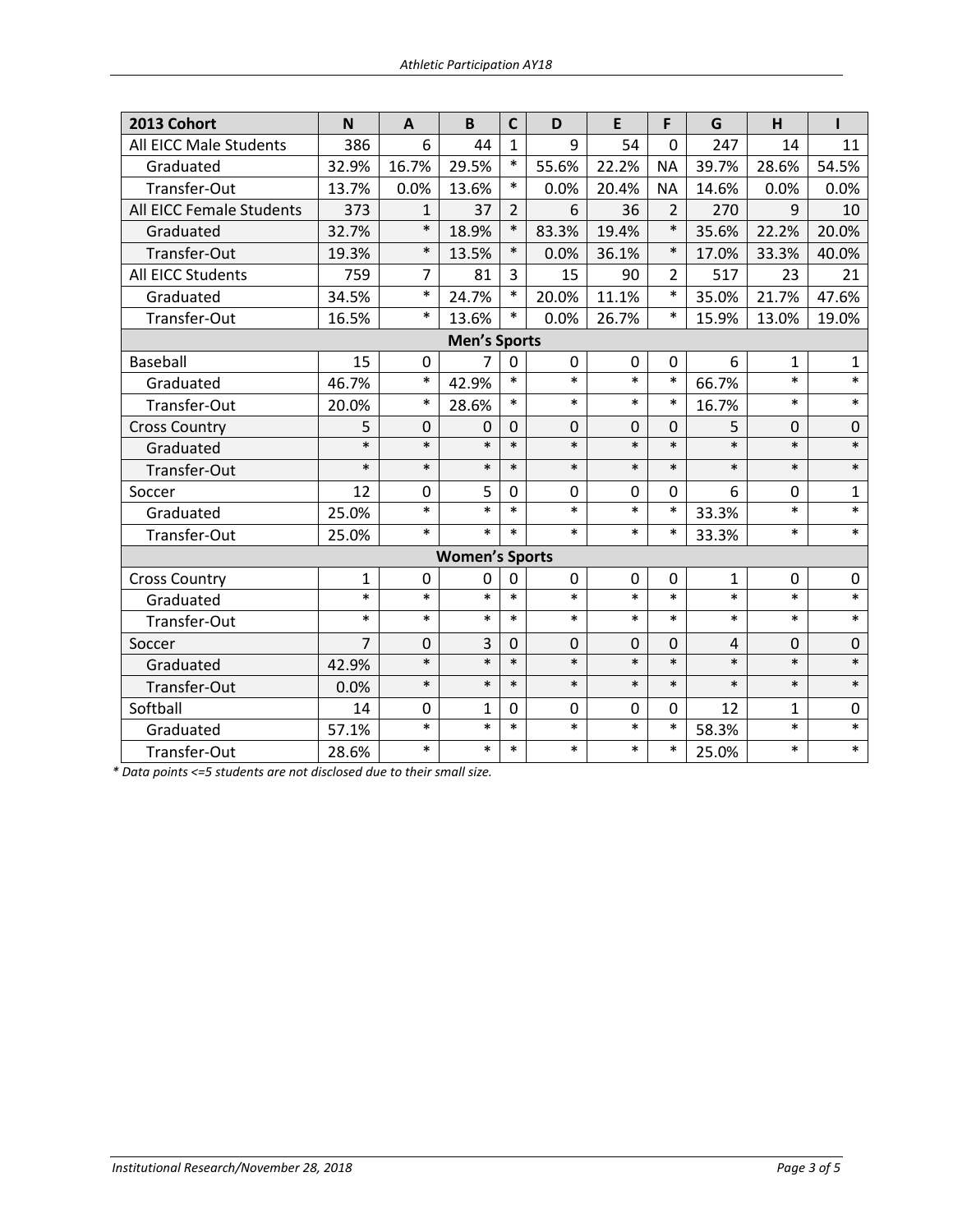| 2013 Cohort              | N      | $\mathbf{A}$   | B                     | $\mathsf{C}$   | D           | E            | F              | G              | H            | ı            |  |  |
|--------------------------|--------|----------------|-----------------------|----------------|-------------|--------------|----------------|----------------|--------------|--------------|--|--|
| All EICC Male Students   | 386    | 6              | 44                    | $\mathbf{1}$   | 9           | 54           | 0              | 247            | 14           | 11           |  |  |
| Graduated                | 32.9%  | 16.7%          | 29.5%                 | $\ast$         | 55.6%       | 22.2%        | <b>NA</b>      | 39.7%          | 28.6%        | 54.5%        |  |  |
| Transfer-Out             | 13.7%  | 0.0%           | 13.6%                 | $\ast$         | 0.0%        | 20.4%        | <b>NA</b>      | 14.6%          | 0.0%         | 0.0%         |  |  |
| All EICC Female Students | 373    | 1              | 37                    | $\overline{2}$ | 6           | 36           | $\overline{2}$ | 270            | 9            | 10           |  |  |
| Graduated                | 32.7%  | $\ast$         | 18.9%                 | $\ast$         | 83.3%       | 19.4%        | $\ast$         | 35.6%          | 22.2%        | 20.0%        |  |  |
| Transfer-Out             | 19.3%  | $\ast$         | 13.5%                 | $\ast$         | 0.0%        | 36.1%        | $\ast$         | 17.0%          | 33.3%        | 40.0%        |  |  |
| All EICC Students        | 759    | $\overline{7}$ | 81                    | 3              | 15          | 90           | $\overline{2}$ | 517            | 23           | 21           |  |  |
| Graduated                | 34.5%  | $\ast$         | 24.7%                 | $\ast$         | 20.0%       | 11.1%        | $\ast$         | 35.0%          | 21.7%        | 47.6%        |  |  |
| Transfer-Out             | 16.5%  | $\ast$         | 13.6%                 | $\ast$         | 0.0%        | 26.7%        | $\ast$         | 15.9%          | 13.0%        | 19.0%        |  |  |
| <b>Men's Sports</b>      |        |                |                       |                |             |              |                |                |              |              |  |  |
| <b>Baseball</b>          | 15     | $\mathbf 0$    | $\overline{7}$        | $\mathbf 0$    | 0           | $\mathbf 0$  | 0              | 6              | $\mathbf{1}$ | $\mathbf{1}$ |  |  |
| Graduated                | 46.7%  | $\ast$         | 42.9%                 | $\ast$         | $\ast$      | $\ast$       | $\ast$         | 66.7%          | $\ast$       | $\ast$       |  |  |
| Transfer-Out             | 20.0%  | $\ast$         | 28.6%                 | $\ast$         | $\ast$      | $\ast$       | $\ast$         | 16.7%          | $\ast$       | $\ast$       |  |  |
| <b>Cross Country</b>     | 5      | $\mathbf 0$    | 0                     | 0              | $\mathbf 0$ | $\mathbf 0$  | $\Omega$       | 5              | 0            | 0            |  |  |
| Graduated                | $\ast$ | $\ast$         | $\ast$                | $\ast$         | $\ast$      | $\ast$       | $\ast$         | $\ast$         | $\ast$       | $\ast$       |  |  |
| Transfer-Out             | $\ast$ | $\ast$         | $\ast$                | $\ast$         | $\ast$      | $\ast$       | $\ast$         | $\ast$         | $\ast$       | $\ast$       |  |  |
| Soccer                   | 12     | $\mathbf 0$    | 5                     | 0              | 0           | 0            | 0              | 6              | $\Omega$     | $\mathbf{1}$ |  |  |
| Graduated                | 25.0%  | $\ast$         | $\ast$                | $\ast$         | $\ast$      | $\ast$       | $\ast$         | 33.3%          | $\ast$       | $\ast$       |  |  |
| Transfer-Out             | 25.0%  | $\ast$         | $\ast$                | $\ast$         | $\ast$      | $\ast$       | $\ast$         | 33.3%          | $\ast$       | $\ast$       |  |  |
|                          |        |                | <b>Women's Sports</b> |                |             |              |                |                |              |              |  |  |
| <b>Cross Country</b>     | 1      | $\mathbf{0}$   | 0                     | 0              | 0           | $\mathbf{0}$ | 0              | 1              | 0            | 0            |  |  |
| Graduated                | $\ast$ | $\ast$         | $\ast$                | $\ast$         | $\ast$      | $\ast$       | $\ast$         | $\ast$         | $\ast$       | $\ast$       |  |  |
| Transfer-Out             | $\ast$ | $\ast$         | $\ast$                | $\ast$         | $\ast$      | $\ast$       | $\ast$         | $\ast$         | $\ast$       | $\ast$       |  |  |
| Soccer                   | 7      | $\mathbf 0$    | 3                     | 0              | $\mathbf 0$ | $\mathbf 0$  | 0              | $\overline{4}$ | 0            | $\mathbf 0$  |  |  |
| Graduated                | 42.9%  | $\ast$         | $\ast$                | $\ast$         | $\ast$      | $\ast$       | $\ast$         | $\ast$         | $\ast$       | $\ast$       |  |  |
| Transfer-Out             | 0.0%   | $\ast$         | $\ast$                | $\ast$         | $\ast$      | $\ast$       | $\ast$         | $\ast$         | $\ast$       | $\ast$       |  |  |
| Softball                 | 14     | $\mathbf{0}$   | 1                     | 0              | 0           | $\mathbf{0}$ | $\Omega$       | 12             | 1            | 0            |  |  |
| Graduated                | 57.1%  | $\ast$         | $\ast$                | $\ast$         | $\ast$      | $\ast$       | $\ast$         | 58.3%          | $\ast$       | $\ast$       |  |  |
| Transfer-Out             | 28.6%  | $\ast$         | $\ast$                | $\ast$         | $\ast$      | $\ast$       | $\ast$         | 25.0%          | $\ast$       | $\ast$       |  |  |

*\* Data points <=5 students are not disclosed due to their small size.*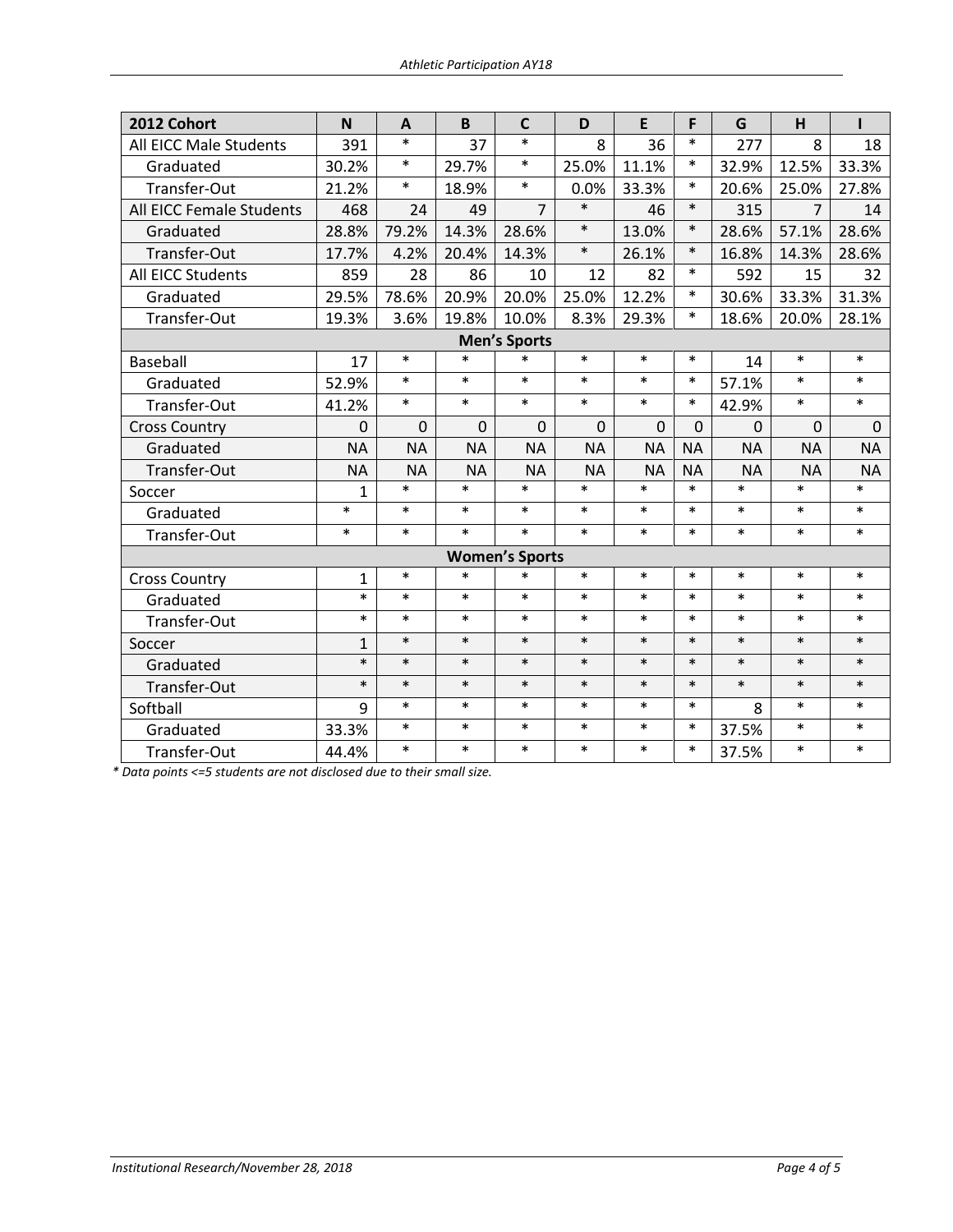| 2012 Cohort              | N            | A         | B         | $\mathsf{C}$          | D         | E         | F         | G         | H         |           |
|--------------------------|--------------|-----------|-----------|-----------------------|-----------|-----------|-----------|-----------|-----------|-----------|
| All EICC Male Students   | 391          | $\ast$    | 37        | $\ast$                | 8         | 36        | $\ast$    | 277       | 8         | 18        |
| Graduated                | 30.2%        | $\ast$    | 29.7%     | $\ast$                | 25.0%     | 11.1%     | $\ast$    | 32.9%     | 12.5%     | 33.3%     |
| Transfer-Out             | 21.2%        | $\ast$    | 18.9%     | $\ast$                | 0.0%      | 33.3%     | $\ast$    | 20.6%     | 25.0%     | 27.8%     |
| All EICC Female Students | 468          | 24        | 49        | $\overline{7}$        | $\ast$    | 46        | $\ast$    | 315       | 7         | 14        |
| Graduated                | 28.8%        | 79.2%     | 14.3%     | 28.6%                 | $\ast$    | 13.0%     | $\ast$    | 28.6%     | 57.1%     | 28.6%     |
| Transfer-Out             | 17.7%        | 4.2%      | 20.4%     | 14.3%                 | $\ast$    | 26.1%     | $\ast$    | 16.8%     | 14.3%     | 28.6%     |
| All EICC Students        | 859          | 28        | 86        | 10                    | 12        | 82        | $\ast$    | 592       | 15        | 32        |
| Graduated                | 29.5%        | 78.6%     | 20.9%     | 20.0%                 | 25.0%     | 12.2%     | $\ast$    | 30.6%     | 33.3%     | 31.3%     |
| Transfer-Out             | 19.3%        | 3.6%      | 19.8%     | 10.0%                 | 8.3%      | 29.3%     | $\ast$    | 18.6%     | 20.0%     | 28.1%     |
|                          |              |           |           | <b>Men's Sports</b>   |           |           |           |           |           |           |
| Baseball                 | 17           | $\ast$    | $\ast$    | $\ast$                | $\ast$    | $\ast$    | $\ast$    | 14        | $\ast$    | $\ast$    |
| Graduated                | 52.9%        | $\ast$    | $\ast$    | $\ast$                | $\ast$    | $\ast$    | $\ast$    | 57.1%     | $\ast$    | $\ast$    |
| Transfer-Out             | 41.2%        | $\ast$    | $\ast$    | $\ast$                | $\ast$    | $\ast$    | $\ast$    | 42.9%     | $\ast$    | $\ast$    |
| <b>Cross Country</b>     | $\Omega$     | 0         | 0         | $\Omega$              | $\Omega$  | $\Omega$  | $\Omega$  | $\Omega$  | $\Omega$  | $\Omega$  |
| Graduated                | <b>NA</b>    | <b>NA</b> | <b>NA</b> | <b>NA</b>             | <b>NA</b> | <b>NA</b> | <b>NA</b> | <b>NA</b> | <b>NA</b> | <b>NA</b> |
| Transfer-Out             | <b>NA</b>    | <b>NA</b> | <b>NA</b> | <b>NA</b>             | <b>NA</b> | <b>NA</b> | <b>NA</b> | <b>NA</b> | <b>NA</b> | <b>NA</b> |
| Soccer                   | $\mathbf{1}$ | $\ast$    | $\ast$    | $\ast$                | $\ast$    | $\ast$    | $\ast$    | $\ast$    | $\ast$    | $\ast$    |
| Graduated                | $\ast$       | $\ast$    | $\ast$    | $\ast$                | $\ast$    | $\ast$    | $\ast$    | $\ast$    | $\ast$    | $\ast$    |
| Transfer-Out             | $\ast$       | $\ast$    | $\ast$    | $\ast$                | $\ast$    | $\ast$    | $\ast$    | $\ast$    | $\ast$    | $\ast$    |
|                          |              |           |           | <b>Women's Sports</b> |           |           |           |           |           |           |
| <b>Cross Country</b>     | $\mathbf{1}$ | $\ast$    | $\ast$    | $\ast$                | $\ast$    | $\ast$    | $\ast$    | $\ast$    | $\ast$    | $\ast$    |
| Graduated                | $\ast$       | $\ast$    | $\ast$    | $\ast$                | $\ast$    | $\ast$    | $\ast$    | $\ast$    | $\ast$    | $\ast$    |
| Transfer-Out             | $\ast$       | $\ast$    | $\ast$    | $\ast$                | $\ast$    | $\ast$    | $\ast$    | $\ast$    | $\ast$    | $\ast$    |
| Soccer                   | $\mathbf{1}$ | $\ast$    | $\ast$    | $\ast$                | $\ast$    | $\ast$    | $\ast$    | $\ast$    | $\ast$    | $\ast$    |
| Graduated                | $\ast$       | $\ast$    | $\ast$    | $\ast$                | $\ast$    | $\ast$    | $\ast$    | $\ast$    | $\ast$    | $\ast$    |
| Transfer-Out             | $\ast$       | $\ast$    | $\ast$    | $\ast$                | $\ast$    | $\ast$    | $\ast$    | $\ast$    | $\ast$    | $\ast$    |
| Softball                 | 9            | $\ast$    | $\ast$    | $\ast$                | $\ast$    | $\ast$    | $\ast$    | 8         | $\ast$    | $\ast$    |
| Graduated                | 33.3%        | $\ast$    | $\ast$    | $\ast$                | $\ast$    | $\ast$    | $\ast$    | 37.5%     | $\ast$    | $\ast$    |
| Transfer-Out             | 44.4%        | $\ast$    | $\ast$    | $\ast$                | $\ast$    | $\ast$    | $\ast$    | 37.5%     | $\ast$    | $\ast$    |

*\* Data points <=5 students are not disclosed due to their small size.*